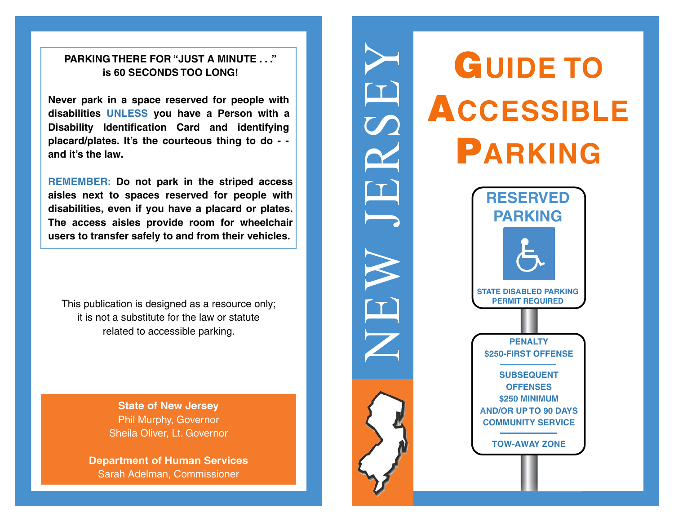### **PARKING THERE FOR "JUST A MINUTE . . ." is 60 SECONDS TOO LONG!**

**Never park in a space reserved for people with disabilities UNLESS you have a Person with a Disability Identification Card and identifying placard/plates. It's the courteous thing to do - and it's the law.** 

**REMEMBER: Do not park in the striped access aisles next to spaces reserved for people with disabilities, even if you have a placard or plates. The access aisles provide room for wheelchair users to transfer safely to and from their vehicles.** 

This publication is designed as a resource only; it is not a substitute for the law or statute related to accessible parking.

> **State of New Jersey**  Phil Murphy, Governor Sheila Oliver, Lt. Governor

**Department of Human Services**  Sarah Adelman, Commissioner



 $\mathbf{T}$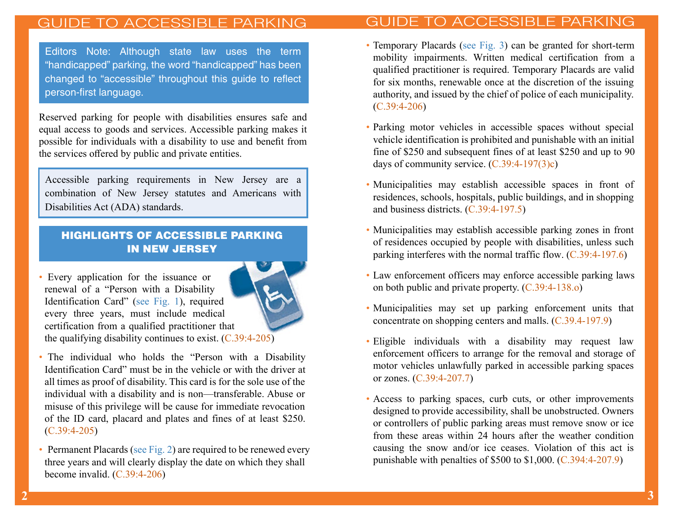# ESSIBI F

person-first language. Editors Note: Although state law uses the term "handicapped" parking, the word "handicapped" has been changed to "accessible" throughout this guide to reflect

Reserved parking for people with disabilities ensures safe and equal access to goods and services. Accessible parking makes it possible for individuals with a disability to use and benefit from the services offered by public and private entities.

Accessible parking requirements in New Jersey are a combination of New Jersey statutes and Americans with Disabilities Act (ADA) standards.

### HIGHLIGHTS OF ACCESSIBLE PARKING IN NEW JERSEY

• Every application for the issuance or renewal of a "Person with a Disability Identification Card" (see Fig. 1), required every three years, must include medical certification from a qualified practitioner that the qualifying disability continues to exist. (C.39:4-205)



- The individual who holds the "Person with a Disability Identification Card" must be in the vehicle or with the driver at all times as proof of disability. This card is for the sole use of the individual with a disability and is non—transferable. Abuse or misuse of this privilege will be cause for immediate revocation of the ID card, placard and plates and fines of at least \$250. (C.39:4-205)
- Permanent Placards (see Fig. 2) are required to be renewed every three years and will clearly display the date on which they shall become invalid. (C.39:4-206)
- Temporary Placards (see Fig. 3) can be granted for short-term mobility impairments. Written medical certification from a qualified practitioner is required. Temporary Placards are valid for six months, renewable once at the discretion of the issuing authority, and issued by the chief of police of each municipality. (C.39:4-206)
- Parking motor vehicles in accessible spaces without special vehicle identification is prohibited and punishable with an initial fine of \$250 and subsequent fines of at least \$250 and up to 90 days of community service. (C.39:4-197(3)c)
- Municipalities may establish accessible spaces in front of residences, schools, hospitals, public buildings, and in shopping and business districts. (C.39:4-197.5)
- Municipalities may establish accessible parking zones in front of residences occupied by people with disabilities, unless such parking interferes with the normal traffic flow. (C.39:4-197.6)
- Law enforcement officers may enforce accessible parking laws on both public and private property. (C.39:4-138.o)
- Municipalities may set up parking enforcement units that concentrate on shopping centers and malls. (C.39.4-197.9)
- Eligible individuals with a disability may request law enforcement officers to arrange for the removal and storage of motor vehicles unlawfully parked in accessible parking spaces or zones. (C.39:4-207.7)
- Access to parking spaces, curb cuts, or other improvements designed to provide accessibility, shall be unobstructed. Owners or controllers of public parking areas must remove snow or ice from these areas within 24 hours after the weather condition causing the snow and/or ice ceases. Violation of this act is punishable with penalties of \$500 to \$1,000. (C.394:4-207.9)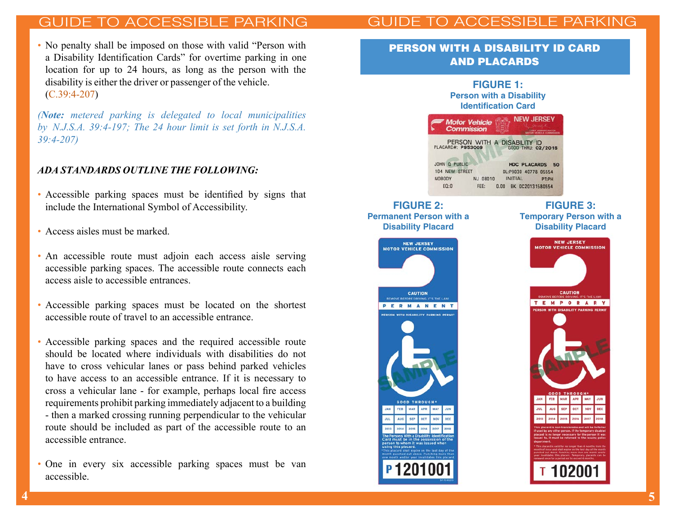# FSSIBI F PARKING

 • No penalty shall be imposed on those with valid "Person with a Disability Identification Cards" for overtime parking in one location for up to 24 hours, as long as the person with the disability is either the driver or passenger of the vehicle. (C.39:4-207)

*(Note: metered parking is delegated to local municipalities by N.J.S.A. 39:4-197; The 24 hour limit is set forth in N.J.S.A. 39:4-207)*

#### *ADA STANDARDS OUTLINE THE FOLLOWING:*

- • Accessible parking spaces must be identified by signs that include the International Symbol of Accessibility.
- Access aisles must be marked.
- • An accessible route must adjoin each access aisle serving accessible parking spaces. The accessible route connects each access aisle to accessible entrances.
- • Accessible parking spaces must be located on the shortest accessible route of travel to an accessible entrance.
- • Accessible parking spaces and the required accessible route should be located where individuals with disabilities do not have to cross vehicular lanes or pass behind parked vehicles to have access to an accessible entrance. If it is necessary to cross a vehicular lane - for example, perhaps local fire access requirements prohibit parking immediately adjacent to a building - then a marked crossing running perpendicular to the vehicular route should be included as part of the accessible route to an accessible entrance.
- • One in every six accessible parking spaces must be van accessible.

### PERSON WITH A DISABILITY ID CARD AND PLACARDS



**Permanent Person with a Disability Placard**



#### **FIGURE 3: Temporary Person with a Disability Placard**

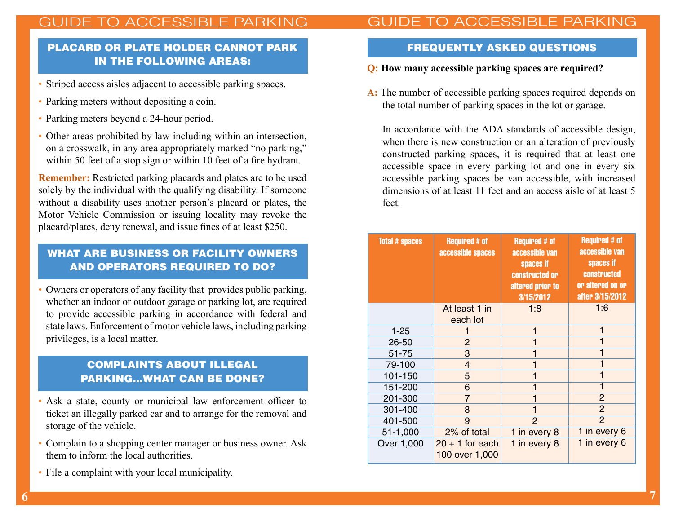### PLACARD OR PLATE HOLDER CANNOT PARK IN THE FOLLOWING AREAS:

- Striped access aisles adjacent to accessible parking spaces.
- Parking meters without depositing a coin.
- Parking meters beyond a 24-hour period.
- • Other areas prohibited by law including within an intersection, on a crosswalk, in any area appropriately marked "no parking," within 50 feet of a stop sign or within 10 feet of a fire hydrant.

**Remember:** Restricted parking placards and plates are to be used solely by the individual with the qualifying disability. If someone without a disability uses another person's placard or plates, the Motor Vehicle Commission or issuing locality may revoke the placard/plates, deny renewal, and issue fines of at least \$250.

### WHAT ARE BUSINESS OR FACILITY OWNERS AND OPERATORS REQUIRED TO DO?

 • Owners or operators of any facility that provides public parking, whether an indoor or outdoor garage or parking lot, are required to provide accessible parking in accordance with federal and state laws. Enforcement of motor vehicle laws, including parking privileges, is a local matter.

### COMPLAINTS ABOUT ILLEGAL PARKING...WHAT CAN BE DONE?

- • Ask a state, county or municipal law enforcement officer to ticket an illegally parked car and to arrange for the removal and storage of the vehicle.
- • Complain to a shopping center manager or business owner. Ask them to inform the local authorities.
- File a complaint with your local municipality.

# GUIDE TO ACCESSIBLE PARKING

#### FREQUENTLY ASKED QUESTIONS

#### **Q: How many accessible parking spaces are required?**

**A:** The number of accessible parking spaces required depends on the total number of parking spaces in the lot or garage.

In accordance with the ADA standards of accessible design, when there is new construction or an alteration of previously constructed parking spaces, it is required that at least one accessible space in every parking lot and one in every six accessible parking spaces be van accessible, with increased dimensions of at least 11 feet and an access aisle of at least 5 feet.

| <b>Total # spaces</b> | <b>Required # of</b><br>accessible spaces | <b>Required # of</b><br>accessible van<br>spaces if<br>constructed or<br>altered prior to<br>3/15/2012 | <b>Required # of</b><br>accessible van<br>spaces if<br><b>constructed</b><br>or altered on or<br>after 3/15/2012 |
|-----------------------|-------------------------------------------|--------------------------------------------------------------------------------------------------------|------------------------------------------------------------------------------------------------------------------|
|                       | At least 1 in<br>each lot                 | 1:8                                                                                                    | 1:6                                                                                                              |
| $1 - 25$              |                                           |                                                                                                        | 1                                                                                                                |
| 26-50                 | $\overline{2}$                            |                                                                                                        |                                                                                                                  |
| 51-75                 | 3                                         |                                                                                                        | 1                                                                                                                |
| 79-100                | 4                                         |                                                                                                        |                                                                                                                  |
| 101-150               | 5                                         |                                                                                                        | 1                                                                                                                |
| 151-200               | 6                                         |                                                                                                        |                                                                                                                  |
| 201-300               | 7                                         |                                                                                                        | 2                                                                                                                |
| 301-400               | 8                                         |                                                                                                        | $\overline{2}$                                                                                                   |
| 401-500               | 9                                         | $\overline{2}$                                                                                         | $\overline{2}$                                                                                                   |
| 51-1,000              | 2% of total                               | 1 in every 8                                                                                           | 1 in every 6                                                                                                     |
| Over 1,000            | $20 + 1$ for each<br>100 over 1,000       | 1 in every 8                                                                                           | 1 in every 6                                                                                                     |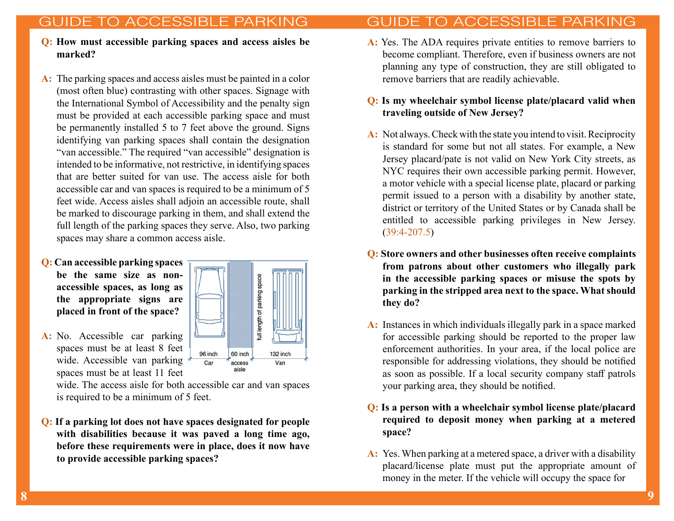# ESSIBLE

# GUIDE TO ACCESSIBLE PARKING

- **Q: How must accessible parking spaces and access aisles be marked?**
- **A:** The parking spaces and access aisles must be painted in a color (most often blue) contrasting with other spaces. Signage with the International Symbol of Accessibility and the penalty sign must be provided at each accessible parking space and must be permanently installed 5 to 7 feet above the ground. Signs identifying van parking spaces shall contain the designation "van accessible." The required "van accessible" designation is intended to be informative, not restrictive, in identifying spaces that are better suited for van use. The access aisle for both accessible car and van spaces is required to be a minimum of 5 feet wide. Access aisles shall adjoin an accessible route, shall be marked to discourage parking in them, and shall extend the full length of the parking spaces they serve. Also, two parking spaces may share a common access aisle.
- **Q: Can accessible parking spaces be the same size as nonaccessible spaces, as long as the appropriate signs are placed in front of the space?**



spaces must be at least 8 feet wide. Accessible van parking spaces must be at least 11 feet

> wide. The access aisle for both accessible car and van spaces is required to be a minimum of 5 feet.

**Q: If a parking lot does not have spaces designated for people with disabilities because it was paved a long time ago, before these requirements were in place, does it now have to provide accessible parking spaces?** 

**A:** Yes. The ADA requires private entities to remove barriers to become compliant. Therefore, even if business owners are not planning any type of construction, they are still obligated to remove barriers that are readily achievable.

#### **Q: Is my wheelchair symbol license plate/placard valid when traveling outside of New Jersey?**

- **A:** Not always. Check with the state you intend to visit. Reciprocity is standard for some but not all states. For example, a New Jersey placard/pate is not valid on New York City streets, as NYC requires their own accessible parking permit. However, a motor vehicle with a special license plate, placard or parking permit issued to a person with a disability by another state, district or territory of the United States or by Canada shall be entitled to accessible parking privileges in New Jersey. (39:4-207.5)
- **Q: Store owners and other businesses often receive complaints from patrons about other customers who illegally park in the accessible parking spaces or misuse the spots by parking in the stripped area next to the space. What should they do?**
- **A:** Instances in which individuals illegally park in a space marked for accessible parking should be reported to the proper law enforcement authorities. In your area, if the local police are responsible for addressing violations, they should be notified as soon as possible. If a local security company staff patrols your parking area, they should be notified.
- **Q: Is a person with a wheelchair symbol license plate/placard required to deposit money when parking at a metered space?**
- **A:** Yes. When parking at a metered space, a driver with a disability placard/license plate must put the appropriate amount of money in the meter. If the vehicle will occupy the space for